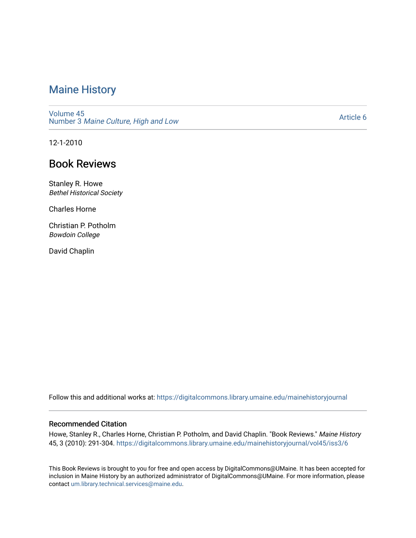# [Maine History](https://digitalcommons.library.umaine.edu/mainehistoryjournal)

[Volume 45](https://digitalcommons.library.umaine.edu/mainehistoryjournal/vol45) Number 3 [Maine Culture, High and Low](https://digitalcommons.library.umaine.edu/mainehistoryjournal/vol45/iss3) 

[Article 6](https://digitalcommons.library.umaine.edu/mainehistoryjournal/vol45/iss3/6) 

12-1-2010

## Book Reviews

Stanley R. Howe Bethel Historical Society

Charles Horne

Christian P. Potholm Bowdoin College

David Chaplin

Follow this and additional works at: [https://digitalcommons.library.umaine.edu/mainehistoryjournal](https://digitalcommons.library.umaine.edu/mainehistoryjournal?utm_source=digitalcommons.library.umaine.edu%2Fmainehistoryjournal%2Fvol45%2Fiss3%2F6&utm_medium=PDF&utm_campaign=PDFCoverPages) 

### Recommended Citation

Howe, Stanley R., Charles Horne, Christian P. Potholm, and David Chaplin. "Book Reviews." Maine History 45, 3 (2010): 291-304. [https://digitalcommons.library.umaine.edu/mainehistoryjournal/vol45/iss3/6](https://digitalcommons.library.umaine.edu/mainehistoryjournal/vol45/iss3/6?utm_source=digitalcommons.library.umaine.edu%2Fmainehistoryjournal%2Fvol45%2Fiss3%2F6&utm_medium=PDF&utm_campaign=PDFCoverPages) 

This Book Reviews is brought to you for free and open access by DigitalCommons@UMaine. It has been accepted for inclusion in Maine History by an authorized administrator of DigitalCommons@UMaine. For more information, please contact [um.library.technical.services@maine.edu](mailto:um.library.technical.services@maine.edu).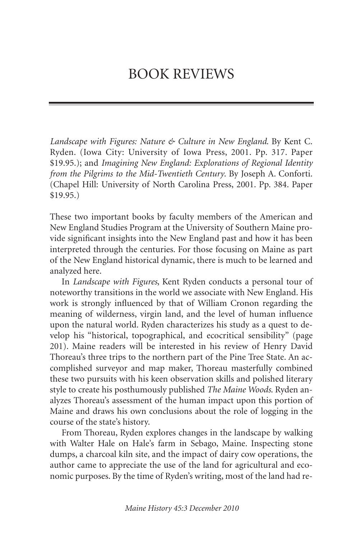*Landscape with Figures: Nature & Culture in New England*. By Kent C. Ryden. (Iowa City: University of Iowa Press, 2001. Pp. 317. Paper \$19.95.); and *Imagining New England: Explorations of Regional Identity from the Pilgrims to the Mid-Twentieth Century*. By Joseph A. Conforti. (Chapel Hill: University of North Carolina Press, 2001. Pp. 384. Paper \$19.95.)

These two important books by faculty members of the American and New England Studies Program at the University of Southern Maine provide significant insights into the New England past and how it has been interpreted through the centuries. For those focusing on Maine as part of the New England historical dynamic, there is much to be learned and analyzed here.

In *Landscape with Figures*, Kent Ryden conducts a personal tour of noteworthy transitions in the world we associate with New England. His work is strongly influenced by that of William Cronon regarding the meaning of wilderness, virgin land, and the level of human influence upon the natural world. Ryden characterizes his study as a quest to develop his "historical, topographical, and ecocritical sensibility" (page 201). Maine readers will be interested in his review of Henry David Thoreau's three trips to the northern part of the Pine Tree State. An accomplished surveyor and map maker, Thoreau masterfully combined these two pursuits with his keen observation skills and polished literary style to create his posthumously published *The Maine Woods*. Ryden analyzes Thoreau's assessment of the human impact upon this portion of Maine and draws his own conclusions about the role of logging in the course of the state's history.

From Thoreau, Ryden explores changes in the landscape by walking with Walter Hale on Hale's farm in Sebago, Maine. Inspecting stone dumps, a charcoal kiln site, and the impact of dairy cow operations, the author came to appreciate the use of the land for agricultural and economic purposes. By the time of Ryden's writing, most of the land had re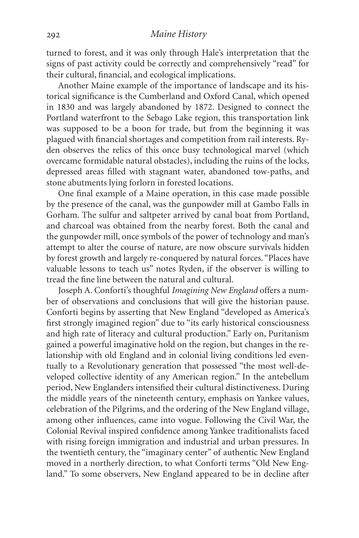turned to forest, and it was only through Hale's interpretation that the signs of past activity could be correctly and comprehensively "read" for their cultural, financial, and ecological implications.

Another Maine example of the importance of landscape and its historical significance is the Cumberland and Oxford Canal, which opened in 1830 and was largely abandoned by 1872. Designed to connect the Portland waterfront to the Sebago Lake region, this transportation link was supposed to be a boon for trade, but from the beginning it was plagued with financial shortages and competition from rail interests. Ryden observes the relics of this once busy technological marvel (which overcame formidable natural obstacles), including the ruins of the locks, depressed areas filled with stagnant water, abandoned tow-paths, and stone abutments lying forlorn in forested locations.

One final example of a Maine operation, in this case made possible by the presence of the canal, was the gunpowder mill at Gambo Falls in Gorham. The sulfur and saltpeter arrived by canal boat from Portland, and charcoal was obtained from the nearby forest. Both the canal and the gunpowder mill, once symbols of the power of technology and man's attempt to alter the course of nature, are now obscure survivals hidden by forest growth and largely re-conquered by natural forces. "Places have valuable lessons to teach us" notes Ryden, if the observer is willing to tread the fine line between the natural and cultural.

Joseph A. Conforti's thoughful *Imagining New England* offers a number of observations and conclusions that will give the historian pause. Conforti begins by asserting that New England "developed as America's first strongly imagined region" due to "its early historical consciousness and high rate of literacy and cultural production." Early on, Puritanism gained a powerful imaginative hold on the region, but changes in the relationship with old England and in colonial living conditions led eventually to a Revolutionary generation that possessed "the most well-developed collective identity of any American region." In the antebellum period, New Englanders intensified their cultural distinctiveness. During the middle years of the nineteenth century, emphasis on Yankee values, celebration of the Pilgrims, and the ordering of the New England village, among other influences, came into vogue. Following the Civil War, the Colonial Revival inspired confidence among Yankee traditionalists faced with rising foreign immigration and industrial and urban pressures. In the twentieth century, the "imaginary center" of authentic New England moved in a northerly direction, to what Conforti terms "Old New England." To some observers, New England appeared to be in decline after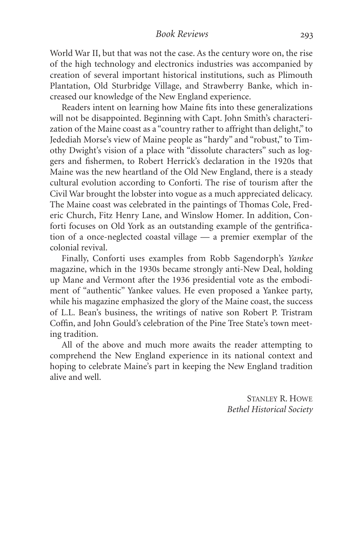World War II, but that was not the case. As the century wore on, the rise of the high technology and electronics industries was accompanied by creation of several important historical institutions, such as Plimouth Plantation, Old Sturbridge Village, and Strawberry Banke, which increased our knowledge of the New England experience.

Readers intent on learning how Maine fits into these generalizations will not be disappointed. Beginning with Capt. John Smith's characterization of the Maine coast as a "country rather to affright than delight," to Jedediah Morse's view of Maine people as "hardy" and "robust," to Timothy Dwight's vision of a place with "dissolute characters" such as loggers and fishermen, to Robert Herrick's declaration in the 1920s that Maine was the new heartland of the Old New England, there is a steady cultural evolution according to Conforti. The rise of tourism after the Civil War brought the lobster into vogue as a much appreciated delicacy. The Maine coast was celebrated in the paintings of Thomas Cole, Frederic Church, Fitz Henry Lane, and Winslow Homer. In addition, Conforti focuses on Old York as an outstanding example of the gentrification of a once-neglected coastal village — a premier exemplar of the colonial revival.

Finally, Conforti uses examples from Robb Sagendorph's *Yankee* magazine, which in the 1930s became strongly anti-New Deal, holding up Mane and Vermont after the 1936 presidential vote as the embodiment of "authentic" Yankee values. He even proposed a Yankee party, while his magazine emphasized the glory of the Maine coast, the success of L.L. Bean's business, the writings of native son Robert P. Tristram Coffin, and John Gould's celebration of the Pine Tree State's town meeting tradition.

All of the above and much more awaits the reader attempting to comprehend the New England experience in its national context and hoping to celebrate Maine's part in keeping the New England tradition alive and well.

> STANLEY R. HOWE *Bethel Historical Society*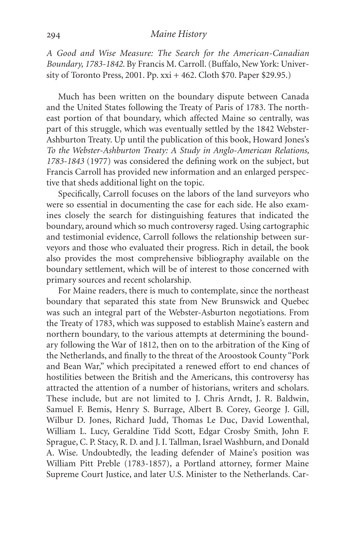#### *Maine History*

*A Good and Wise Measure: The Search for the American-Canadian Boundary, 1783-1842*. By Francis M. Carroll. (Buffalo, New York: University of Toronto Press, 2001. Pp. xxi + 462. Cloth \$70. Paper \$29.95.)

Much has been written on the boundary dispute between Canada and the United States following the Treaty of Paris of 1783. The northeast portion of that boundary, which affected Maine so centrally, was part of this struggle, which was eventually settled by the 1842 Webster-Ashburton Treaty. Up until the publication of this book, Howard Jones's *To the Webster-Ashburton Treaty: A Study in Anglo-American Relations, 1783-1843* (1977) was considered the defining work on the subject, but Francis Carroll has provided new information and an enlarged perspective that sheds additional light on the topic.

Specifically, Carroll focuses on the labors of the land surveyors who were so essential in documenting the case for each side. He also examines closely the search for distinguishing features that indicated the boundary, around which so much controversy raged. Using cartographic and testimonial evidence, Carroll follows the relationship between surveyors and those who evaluated their progress. Rich in detail, the book also provides the most comprehensive bibliography available on the boundary settlement, which will be of interest to those concerned with primary sources and recent scholarship.

For Maine readers, there is much to contemplate, since the northeast boundary that separated this state from New Brunswick and Quebec was such an integral part of the Webster-Asburton negotiations. From the Treaty of 1783, which was supposed to establish Maine's eastern and northern boundary, to the various attempts at determining the boundary following the War of 1812, then on to the arbitration of the King of the Netherlands, and finally to the threat of the Aroostook County "Pork and Bean War," which precipitated a renewed effort to end chances of hostilities between the British and the Americans, this controversy has attracted the attention of a number of historians, writers and scholars. These include, but are not limited to J. Chris Arndt, J. R. Baldwin, Samuel F. Bemis, Henry S. Burrage, Albert B. Corey, George J. Gill, Wilbur D. Jones, Richard Judd, Thomas Le Duc, David Lowenthal, William L. Lucy, Geraldine Tidd Scott, Edgar Crosby Smith, John F. Sprague, C. P. Stacy, R. D. and J. I. Tallman, Israel Washburn, and Donald A. Wise. Undoubtedly, the leading defender of Maine's position was William Pitt Preble (1783-1857), a Portland attorney, former Maine Supreme Court Justice, and later U.S. Minister to the Netherlands. Car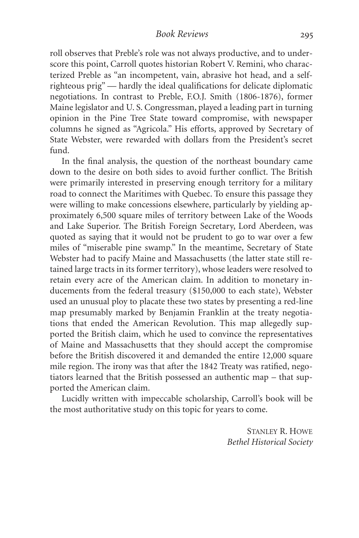roll observes that Preble's role was not always productive, and to underscore this point, Carroll quotes historian Robert V. Remini, who characterized Preble as "an incompetent, vain, abrasive hot head, and a selfrighteous prig" — hardly the ideal qualifications for delicate diplomatic negotiations. In contrast to Preble, F.O.J. Smith (1806-1876), former Maine legislator and U. S. Congressman, played a leading part in turning opinion in the Pine Tree State toward compromise, with newspaper columns he signed as "Agricola." His efforts, approved by Secretary of State Webster, were rewarded with dollars from the President's secret fund.

In the final analysis, the question of the northeast boundary came down to the desire on both sides to avoid further conflict. The British were primarily interested in preserving enough territory for a military road to connect the Maritimes with Quebec. To ensure this passage they were willing to make concessions elsewhere, particularly by yielding approximately 6,500 square miles of territory between Lake of the Woods and Lake Superior. The British Foreign Secretary, Lord Aberdeen, was quoted as saying that it would not be prudent to go to war over a few miles of "miserable pine swamp." In the meantime, Secretary of State Webster had to pacify Maine and Massachusetts (the latter state still retained large tracts in its former territory), whose leaders were resolved to retain every acre of the American claim. In addition to monetary inducements from the federal treasury (\$150,000 to each state), Webster used an unusual ploy to placate these two states by presenting a red-line map presumably marked by Benjamin Franklin at the treaty negotiations that ended the American Revolution. This map allegedly supported the British claim, which he used to convince the representatives of Maine and Massachusetts that they should accept the compromise before the British discovered it and demanded the entire 12,000 square mile region. The irony was that after the 1842 Treaty was ratified, negotiators learned that the British possessed an authentic map – that supported the American claim.

Lucidly written with impeccable scholarship, Carroll's book will be the most authoritative study on this topic for years to come.

> STANLEY R. HOWE *Bethel Historical Society*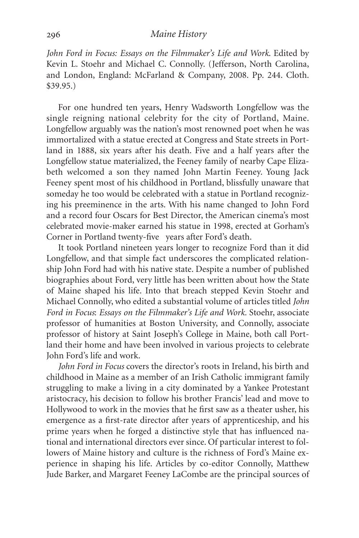#### *Maine History*

*John Ford in Focus: Essays on the Filmmaker's Life and Work*. Edited by Kevin L. Stoehr and Michael C. Connolly. (Jefferson, North Carolina, and London, England: McFarland & Company, 2008. Pp. 244. Cloth. \$39.95.)

For one hundred ten years, Henry Wadsworth Longfellow was the single reigning national celebrity for the city of Portland, Maine. Longfellow arguably was the nation's most renowned poet when he was immortalized with a statue erected at Congress and State streets in Portland in 1888, six years after his death. Five and a half years after the Longfellow statue materialized, the Feeney family of nearby Cape Elizabeth welcomed a son they named John Martin Feeney. Young Jack Feeney spent most of his childhood in Portland, blissfully unaware that someday he too would be celebrated with a statue in Portland recognizing his preeminence in the arts. With his name changed to John Ford and a record four Oscars for Best Director, the American cinema's most celebrated movie-maker earned his statue in 1998, erected at Gorham's Corner in Portland twenty-five years after Ford's death.

It took Portland nineteen years longer to recognize Ford than it did Longfellow, and that simple fact underscores the complicated relationship John Ford had with his native state. Despite a number of published biographies about Ford, very little has been written about how the State of Maine shaped his life. Into that breach stepped Kevin Stoehr and Michael Connolly, who edited a substantial volume of articles titled *John Ford in Focus*: *Essays on the Filmmaker's Life and Work.* Stoehr, associate professor of humanities at Boston University, and Connolly, associate professor of history at Saint Joseph's College in Maine, both call Portland their home and have been involved in various projects to celebrate John Ford's life and work.

*John Ford in Focus* covers the director's roots in Ireland, his birth and childhood in Maine as a member of an Irish Catholic immigrant family struggling to make a living in a city dominated by a Yankee Protestant aristocracy, his decision to follow his brother Francis' lead and move to Hollywood to work in the movies that he first saw as a theater usher, his emergence as a first-rate director after years of apprenticeship, and his prime years when he forged a distinctive style that has influenced national and international directors ever since. Of particular interest to followers of Maine history and culture is the richness of Ford's Maine experience in shaping his life. Articles by co-editor Connolly, Matthew Jude Barker, and Margaret Feeney LaCombe are the principal sources of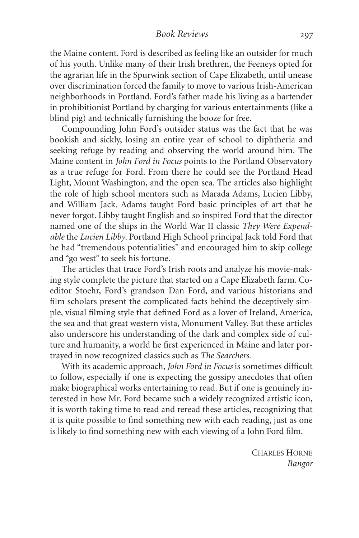#### *Book Reviews*

the Maine content. Ford is described as feeling like an outsider for much of his youth. Unlike many of their Irish brethren, the Feeneys opted for the agrarian life in the Spurwink section of Cape Elizabeth, until unease over discrimination forced the family to move to various Irish-American neighborhoods in Portland. Ford's father made his living as a bartender in prohibitionist Portland by charging for various entertainments (like a blind pig) and technically furnishing the booze for free.

Compounding John Ford's outsider status was the fact that he was bookish and sickly, losing an entire year of school to diphtheria and seeking refuge by reading and observing the world around him. The Maine content in *John Ford in Focus* points to the Portland Observatory as a true refuge for Ford. From there he could see the Portland Head Light, Mount Washington, and the open sea. The articles also highlight the role of high school mentors such as Marada Adams, Lucien Libby, and William Jack. Adams taught Ford basic principles of art that he never forgot. Libby taught English and so inspired Ford that the director named one of the ships in the World War II classic *They Were Expendable* the *Lucien Libby*. Portland High School principal Jack told Ford that he had "tremendous potentialities" and encouraged him to skip college and "go west" to seek his fortune.

The articles that trace Ford's Irish roots and analyze his movie-making style complete the picture that started on a Cape Elizabeth farm. Coeditor Stoehr, Ford's grandson Dan Ford, and various historians and film scholars present the complicated facts behind the deceptively simple, visual filming style that defined Ford as a lover of Ireland, America, the sea and that great western vista, Monument Valley. But these articles also underscore his understanding of the dark and complex side of culture and humanity, a world he first experienced in Maine and later portrayed in now recognized classics such as *The Searchers.*

With its academic approach, *John Ford in Focus* is sometimes difficult to follow, especially if one is expecting the gossipy anecdotes that often make biographical works entertaining to read. But if one is genuinely interested in how Mr. Ford became such a widely recognized artistic icon, it is worth taking time to read and reread these articles, recognizing that it is quite possible to find something new with each reading, just as one is likely to find something new with each viewing of a John Ford film.

> CHARLES HORNE *Bangor*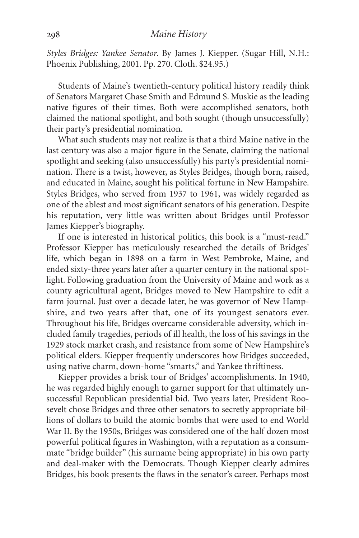*Styles Bridges: Yankee Senator*. By James J. Kiepper. (Sugar Hill, N.H.: Phoenix Publishing, 2001. Pp. 270. Cloth. \$24.95.)

Students of Maine's twentieth-century political history readily think of Senators Margaret Chase Smith and Edmund S. Muskie as the leading native figures of their times. Both were accomplished senators, both claimed the national spotlight, and both sought (though unsuccessfully) their party's presidential nomination.

What such students may not realize is that a third Maine native in the last century was also a major figure in the Senate, claiming the national spotlight and seeking (also unsuccessfully) his party's presidential nomination. There is a twist, however, as Styles Bridges, though born, raised, and educated in Maine, sought his political fortune in New Hampshire. Styles Bridges, who served from 1937 to 1961, was widely regarded as one of the ablest and most significant senators of his generation. Despite his reputation, very little was written about Bridges until Professor James Kiepper's biography.

If one is interested in historical politics, this book is a "must-read." Professor Kiepper has meticulously researched the details of Bridges' life, which began in 1898 on a farm in West Pembroke, Maine, and ended sixty-three years later after a quarter century in the national spotlight. Following graduation from the University of Maine and work as a county agricultural agent, Bridges moved to New Hampshire to edit a farm journal. Just over a decade later, he was governor of New Hampshire, and two years after that, one of its youngest senators ever. Throughout his life, Bridges overcame considerable adversity, which included family tragedies, periods of ill health, the loss of his savings in the 1929 stock market crash, and resistance from some of New Hampshire's political elders. Kiepper frequently underscores how Bridges succeeded, using native charm, down-home "smarts," and Yankee thriftiness.

Kiepper provides a brisk tour of Bridges' accomplishments. In 1940, he was regarded highly enough to garner support for that ultimately unsuccessful Republican presidential bid. Two years later, President Roosevelt chose Bridges and three other senators to secretly appropriate billions of dollars to build the atomic bombs that were used to end World War II. By the 1950s, Bridges was considered one of the half dozen most powerful political figures in Washington, with a reputation as a consummate "bridge builder" (his surname being appropriate) in his own party and deal-maker with the Democrats. Though Kiepper clearly admires Bridges, his book presents the flaws in the senator's career. Perhaps most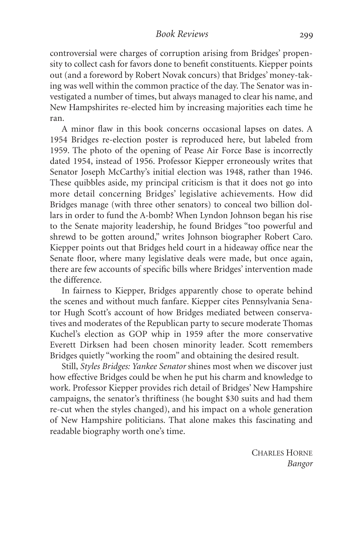controversial were charges of corruption arising from Bridges' propensity to collect cash for favors done to benefit constituents. Kiepper points out (and a foreword by Robert Novak concurs) that Bridges' money-taking was well within the common practice of the day. The Senator was investigated a number of times, but always managed to clear his name, and New Hampshirites re-elected him by increasing majorities each time he ran.

A minor flaw in this book concerns occasional lapses on dates. A 1954 Bridges re-election poster is reproduced here, but labeled from 1959. The photo of the opening of Pease Air Force Base is incorrectly dated 1954, instead of 1956. Professor Kiepper erroneously writes that Senator Joseph McCarthy's initial election was 1948, rather than 1946. These quibbles aside, my principal criticism is that it does not go into more detail concerning Bridges' legislative achievements. How did Bridges manage (with three other senators) to conceal two billion dollars in order to fund the A-bomb? When Lyndon Johnson began his rise to the Senate majority leadership, he found Bridges "too powerful and shrewd to be gotten around," writes Johnson biographer Robert Caro. Kiepper points out that Bridges held court in a hideaway office near the Senate floor, where many legislative deals were made, but once again, there are few accounts of specific bills where Bridges' intervention made the difference.

In fairness to Kiepper, Bridges apparently chose to operate behind the scenes and without much fanfare. Kiepper cites Pennsylvania Senator Hugh Scott's account of how Bridges mediated between conservatives and moderates of the Republican party to secure moderate Thomas Kuchel's election as GOP whip in 1959 after the more conservative Everett Dirksen had been chosen minority leader. Scott remembers Bridges quietly "working the room" and obtaining the desired result.

Still, *Styles Bridges: Yankee Senator* shines most when we discover just how effective Bridges could be when he put his charm and knowledge to work. Professor Kiepper provides rich detail of Bridges' New Hampshire campaigns, the senator's thriftiness (he bought \$30 suits and had them re-cut when the styles changed), and his impact on a whole generation of New Hampshire politicians. That alone makes this fascinating and readable biography worth one's time.

> CHARLES HORNE *Bangor*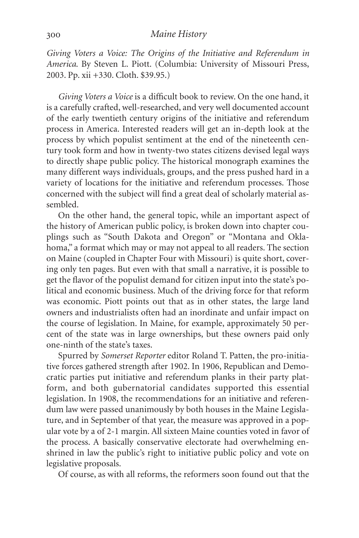*Giving Voters a Voice: The Origins of the Initiative and Referendum in America*. By Steven L. Piott. (Columbia: University of Missouri Press, 2003. Pp. xii +330. Cloth. \$39.95.)

*Giving Voters a Voice* is a difficult book to review. On the one hand, it is a carefully crafted, well-researched, and very well documented account of the early twentieth century origins of the initiative and referendum process in America. Interested readers will get an in-depth look at the process by which populist sentiment at the end of the nineteenth century took form and how in twenty-two states citizens devised legal ways to directly shape public policy. The historical monograph examines the many different ways individuals, groups, and the press pushed hard in a variety of locations for the initiative and referendum processes. Those concerned with the subject will find a great deal of scholarly material assembled.

On the other hand, the general topic, while an important aspect of the history of American public policy, is broken down into chapter couplings such as "South Dakota and Oregon" or "Montana and Oklahoma," a format which may or may not appeal to all readers. The section on Maine (coupled in Chapter Four with Missouri) is quite short, covering only ten pages. But even with that small a narrative, it is possible to get the flavor of the populist demand for citizen input into the state's political and economic business. Much of the driving force for that reform was economic. Piott points out that as in other states, the large land owners and industrialists often had an inordinate and unfair impact on the course of legislation. In Maine, for example, approximately 50 percent of the state was in large ownerships, but these owners paid only one-ninth of the state's taxes.

Spurred by *Somerset Reporter* editor Roland T. Patten, the pro-initiative forces gathered strength after 1902. In 1906, Republican and Democratic parties put initiative and referendum planks in their party platform, and both gubernatorial candidates supported this essential legislation. In 1908, the recommendations for an initiative and referendum law were passed unanimously by both houses in the Maine Legislature, and in September of that year, the measure was approved in a popular vote by a of 2-1 margin. All sixteen Maine counties voted in favor of the process. A basically conservative electorate had overwhelming enshrined in law the public's right to initiative public policy and vote on legislative proposals.

Of course, as with all reforms, the reformers soon found out that the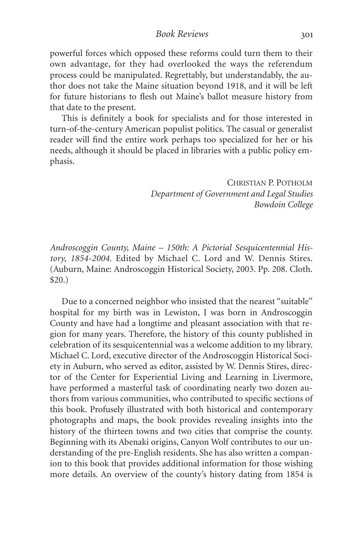*Book Reviews*

powerful forces which opposed these reforms could turn them to their own advantage, for they had overlooked the ways the referendum process could be manipulated. Regrettably, but understandably, the author does not take the Maine situation beyond 1918, and it will be left for future historians to flesh out Maine's ballot measure history from that date to the present.

This is definitely a book for specialists and for those interested in turn-of-the-century American populist politics. The casual or generalist reader will find the entire work perhaps too specialized for her or his needs, although it should be placed in libraries with a public policy emphasis.

> CHRISTIAN P. POTHOLM *Department of Government and Legal Studies Bowdoin College*

*Androscoggin County, Maine – 150th: A Pictorial Sesquicentennial History, 1854-2004.* Edited by Michael C. Lord and W. Dennis Stires. (Auburn, Maine: Androscoggin Historical Society, 2003. Pp. 208. Cloth. \$20.)

Due to a concerned neighbor who insisted that the nearest "suitable" hospital for my birth was in Lewiston, I was born in Androscoggin County and have had a longtime and pleasant association with that region for many years. Therefore, the history of this county published in celebration of its sesquicentennial was a welcome addition to my library. Michael C. Lord, executive director of the Androscoggin Historical Society in Auburn, who served as editor, assisted by W. Dennis Stires, director of the Center for Experiential Living and Learning in Livermore, have performed a masterful task of coordinating nearly two dozen authors from various communities, who contributed to specific sections of this book. Profusely illustrated with both historical and contemporary photographs and maps, the book provides revealing insights into the history of the thirteen towns and two cities that comprise the county. Beginning with its Abenaki origins, Canyon Wolf contributes to our understanding of the pre-English residents. She has also written a companion to this book that provides additional information for those wishing more details. An overview of the county's history dating from 1854 is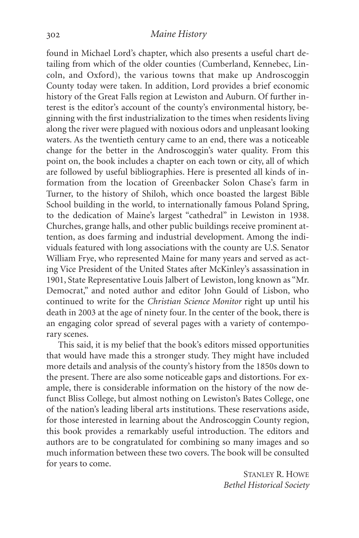found in Michael Lord's chapter, which also presents a useful chart detailing from which of the older counties (Cumberland, Kennebec, Lincoln, and Oxford), the various towns that make up Androscoggin County today were taken. In addition, Lord provides a brief economic history of the Great Falls region at Lewiston and Auburn. Of further interest is the editor's account of the county's environmental history, beginning with the first industrialization to the times when residents living along the river were plagued with noxious odors and unpleasant looking waters. As the twentieth century came to an end, there was a noticeable change for the better in the Androscoggin's water quality. From this point on, the book includes a chapter on each town or city, all of which are followed by useful bibliographies. Here is presented all kinds of information from the location of Greenbacker Solon Chase's farm in Turner, to the history of Shiloh, which once boasted the largest Bible School building in the world, to internationally famous Poland Spring, to the dedication of Maine's largest "cathedral" in Lewiston in 1938. Churches, grange halls, and other public buildings receive prominent attention, as does farming and industrial development. Among the individuals featured with long associations with the county are U.S. Senator William Frye, who represented Maine for many years and served as acting Vice President of the United States after McKinley's assassination in 1901, State Representative Louis Jalbert of Lewiston, long known as "Mr. Democrat," and noted author and editor John Gould of Lisbon, who continued to write for the *Christian Science Monitor* right up until his death in 2003 at the age of ninety four. In the center of the book, there is an engaging color spread of several pages with a variety of contemporary scenes.

This said, it is my belief that the book's editors missed opportunities that would have made this a stronger study. They might have included more details and analysis of the county's history from the 1850s down to the present. There are also some noticeable gaps and distortions. For example, there is considerable information on the history of the now defunct Bliss College, but almost nothing on Lewiston's Bates College, one of the nation's leading liberal arts institutions. These reservations aside, for those interested in learning about the Androscoggin County region, this book provides a remarkably useful introduction. The editors and authors are to be congratulated for combining so many images and so much information between these two covers. The book will be consulted for years to come.

> STANLEY R. HOWE *Bethel Historical Society*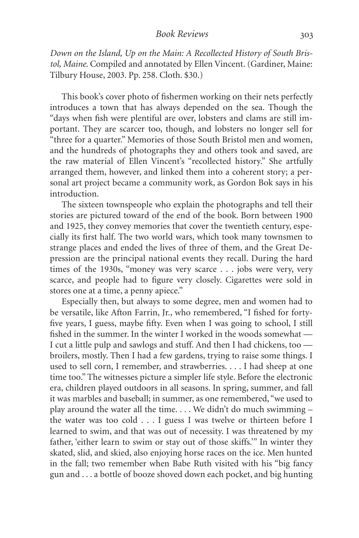*Down on the Island, Up on the Main: A Recollected History of South Bristol, Maine*. Compiled and annotated by Ellen Vincent. (Gardiner, Maine: Tilbury House, 2003. Pp. 258. Cloth. \$30.)

This book's cover photo of fishermen working on their nets perfectly introduces a town that has always depended on the sea. Though the "days when fish were plentiful are over, lobsters and clams are still important. They are scarcer too, though, and lobsters no longer sell for "three for a quarter." Memories of those South Bristol men and women, and the hundreds of photographs they and others took and saved, are the raw material of Ellen Vincent's "recollected history." She artfully arranged them, however, and linked them into a coherent story; a personal art project became a community work, as Gordon Bok says in his introduction.

The sixteen townspeople who explain the photographs and tell their stories are pictured toward of the end of the book. Born between 1900 and 1925, they convey memories that cover the twentieth century, especially its first half. The two world wars, which took many townsmen to strange places and ended the lives of three of them, and the Great Depression are the principal national events they recall. During the hard times of the 1930s, "money was very scarce . . . jobs were very, very scarce, and people had to figure very closely. Cigarettes were sold in stores one at a time, a penny apiece."

Especially then, but always to some degree, men and women had to be versatile, like Afton Farrin, Jr., who remembered, "I fished for fortyfive years, I guess, maybe fifty. Even when I was going to school, I still fished in the summer. In the winter I worked in the woods somewhat — I cut a little pulp and sawlogs and stuff. And then I had chickens, too broilers, mostly. Then I had a few gardens, trying to raise some things. I used to sell corn, I remember, and strawberries. . . . I had sheep at one time too." The witnesses picture a simpler life style. Before the electronic era, children played outdoors in all seasons. In spring, summer, and fall it was marbles and baseball; in summer, as one remembered, "we used to play around the water all the time. . . . We didn't do much swimming – the water was too cold . . . I guess I was twelve or thirteen before I learned to swim, and that was out of necessity. I was threatened by my father, 'either learn to swim or stay out of those skiffs.'" In winter they skated, slid, and skied, also enjoying horse races on the ice. Men hunted in the fall; two remember when Babe Ruth visited with his "big fancy gun and . . . a bottle of booze shoved down each pocket, and big hunting